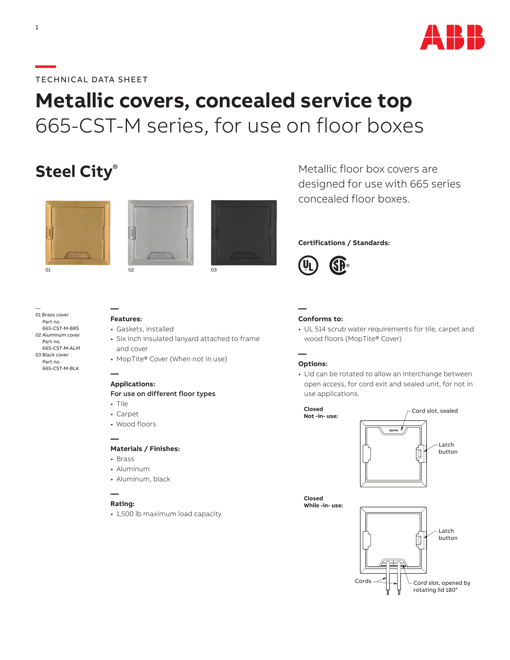

## **—**TECHNICAL DATA SHEET

# **Metallic covers, concealed service top** 665-CST-M series, for use on floor boxes

## **Steel City**®





— 01 Brass cover Part no. 665-CST-M-BRS 02 Aluminum cover Part no. 665-CST-M-ALM 03 Black cover Part no. 665-CST-M-BLK





Metallic floor box covers are designed for use with 665 series concealed floor boxes.

### **Certifications / Standards:**



#### **— Features:**

- Gaskets, installed
- Six inch insulated lanyard attached to frame and cover
- MopTite® Cover (When not in use)

#### **— Applications:**

#### For use on different floor types

- Tile
- Carpet
- Wood floors

#### **Materials / Finishes:**

• Brass

**—**

- Aluminum
- Aluminum, black

#### **— Rating:**

• 1,500 lb maximum load capacity

#### **— Conforms to:**

• UL 514 scrub water requirements for tile, carpet and wood floors (MopTite® Cover)

#### **— Options:**

• Lid can be rotated to allow an interchange between open access, for cord exit and sealed unit, for not in use applications.

**Closed Not -in- use:**



**Closed While -in- use:**